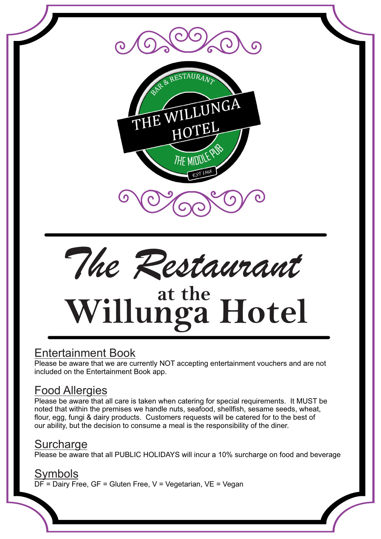



# **at the Willunga Hotel**

# Entertainment Book

Please be aware that we are currently NOT accepting entertainment vouchers and are not included on the Entertainment Book app.

# Food Allergies

Please be aware that all care is taken when catering for special requirements. It MUST be noted that within the premises we handle nuts, seafood, shellfish, sesame seeds, wheat, flour, egg, fungi & dairy products. Customers requests will be catered for to the best of our ability, but the decision to consume a meal is the responsibility of the diner.

# **Surcharge**

Please be aware that all PUBLIC HOLIDAYS will incur a 10% surcharge on food and beverage

## Symbols

DF = Dairy Free, GF = Gluten Free, V = Vegetarian, VE = Vegan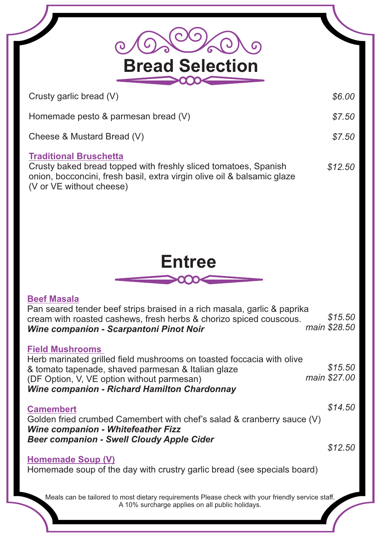| <b>Bread Selection</b>                                                                                                                                                                                                                                     |                         |
|------------------------------------------------------------------------------------------------------------------------------------------------------------------------------------------------------------------------------------------------------------|-------------------------|
| Crusty garlic bread (V)                                                                                                                                                                                                                                    | \$6.00                  |
| Homemade pesto & parmesan bread (V)                                                                                                                                                                                                                        | \$7.50                  |
| Cheese & Mustard Bread (V)                                                                                                                                                                                                                                 | \$7.50                  |
| <b>Traditional Bruschetta</b><br>Crusty baked bread topped with freshly sliced tomatoes, Spanish<br>onion, bocconcini, fresh basil, extra virgin olive oil & balsamic glaze<br>(V or VE without cheese)                                                    | \$12.50                 |
|                                                                                                                                                                                                                                                            |                         |
|                                                                                                                                                                                                                                                            |                         |
| <b>Entree</b>                                                                                                                                                                                                                                              |                         |
|                                                                                                                                                                                                                                                            |                         |
| <b>Beef Masala</b><br>Pan seared tender beef strips braised in a rich masala, garlic & paprika<br>cream with roasted cashews, fresh herbs & chorizo spiced couscous.<br>Wine companion - Scarpantoni Pinot Noir                                            | \$15.50<br>main \$28.50 |
| <b>Field Mushrooms</b><br>Herb marinated grilled field mushrooms on toasted foccacia with olive<br>& tomato tapenade, shaved parmesan & Italian glaze<br>(DF Option, V, VE option without parmesan)<br><b>Wine companion - Richard Hamilton Chardonnay</b> | \$15.50<br>main \$27.00 |
| <b>Camembert</b><br>Golden fried crumbed Camembert with chef's salad & cranberry sauce (V)<br><b>Wine companion - Whitefeather Fizz</b>                                                                                                                    | \$14.50                 |
| <b>Beer companion - Swell Cloudy Apple Cider</b>                                                                                                                                                                                                           | \$12.50                 |
| <b>Homemade Soup (V)</b><br>Homemade soup of the day with crustry garlic bread (see specials board)                                                                                                                                                        |                         |
| Meals can be tailored to most dietary requirements Please check with your friendly service staff.<br>A 10% surcharge applies on all public holidays.                                                                                                       |                         |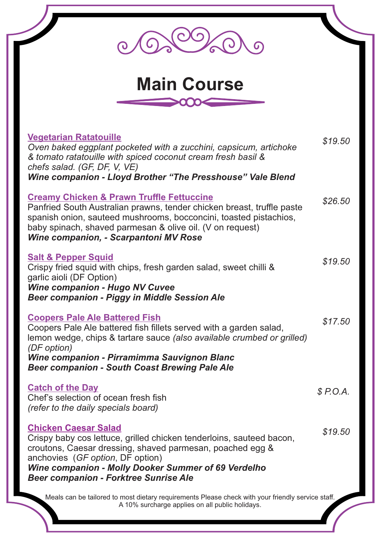| <b>Main Course</b>                                                                                                                                                                                                                                                                                          |          |
|-------------------------------------------------------------------------------------------------------------------------------------------------------------------------------------------------------------------------------------------------------------------------------------------------------------|----------|
| <b>Vegetarian Ratatouille</b><br>Oven baked eggplant pocketed with a zucchini, capsicum, artichoke<br>& tomato ratatouille with spiced coconut cream fresh basil &                                                                                                                                          | \$19.50  |
| chefs salad. (GF, DF, V, VE)<br>Wine companion - Lloyd Brother "The Presshouse" Vale Blend                                                                                                                                                                                                                  |          |
| <b>Creamy Chicken &amp; Prawn Truffle Fettuccine</b><br>Panfried South Australian prawns, tender chicken breast, truffle paste<br>spanish onion, sauteed mushrooms, bocconcini, toasted pistachios,<br>baby spinach, shaved parmesan & olive oil. (V on request)<br>Wine companion, - Scarpantoni MV Rose   | \$26.50  |
| <b>Salt &amp; Pepper Squid</b><br>Crispy fried squid with chips, fresh garden salad, sweet chilli &<br>garlic aioli (DF Option)<br><b>Wine companion - Hugo NV Cuvee</b><br><b>Beer companion - Piggy in Middle Session Ale</b>                                                                             | \$19.50  |
| <b>Coopers Pale Ale Battered Fish</b><br>Coopers Pale Ale battered fish fillets served with a garden salad,<br>lemon wedge, chips & tartare sauce (also available crumbed or grilled)<br>(DF option)<br>Wine companion - Pirramimma Sauvignon Blanc<br><b>Beer companion - South Coast Brewing Pale Ale</b> | \$17.50  |
| <b>Catch of the Day</b><br>Chef's selection of ocean fresh fish<br>(refer to the daily specials board)                                                                                                                                                                                                      | \$P.O.A. |
| <b>Chicken Caesar Salad</b><br>Crispy baby cos lettuce, grilled chicken tenderloins, sauteed bacon,<br>croutons, Caesar dressing, shaved parmesan, poached egg &<br>anchovies (GF option, DF option)<br>Wine companion - Molly Dooker Summer of 69 Verdelho<br><b>Beer companion - Forktree Sunrise Ale</b> | \$19.50  |
| Meals can be tailored to most dietary requirements Please check with your friendly service staff.<br>A 10% surcharge applies on all public holidays.                                                                                                                                                        |          |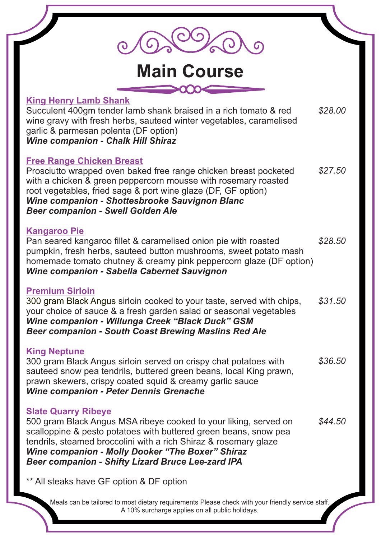| <b>Main Course</b>                                                                                                                                                                                                                                                                                                                                            |         |
|---------------------------------------------------------------------------------------------------------------------------------------------------------------------------------------------------------------------------------------------------------------------------------------------------------------------------------------------------------------|---------|
| <b>King Henry Lamb Shank</b><br>Succulent 400gm tender lamb shank braised in a rich tomato & red<br>wine gravy with fresh herbs, sauteed winter vegetables, caramelised<br>garlic & parmesan polenta (DF option)<br><b>Wine companion - Chalk Hill Shiraz</b>                                                                                                 | \$28.00 |
| <b>Free Range Chicken Breast</b><br>Prosciutto wrapped oven baked free range chicken breast pocketed<br>with a chicken & green peppercorn mousse with rosemary roasted<br>root vegetables, fried sage & port wine glaze (DF, GF option)<br>Wine companion - Shottesbrooke Sauvignon Blanc<br><b>Beer companion - Swell Golden Ale</b>                         | \$27.50 |
| <b>Kangaroo Pie</b><br>Pan seared kangaroo fillet & caramelised onion pie with roasted<br>pumpkin, fresh herbs, sauteed button mushrooms, sweet potato mash<br>homemade tomato chutney & creamy pink peppercorn glaze (DF option)<br><b>Wine companion - Sabella Cabernet Sauvignon</b>                                                                       | \$28.50 |
| <b>Premium Sirloin</b><br>300 gram Black Angus sirloin cooked to your taste, served with chips,<br>your choice of sauce & a fresh garden salad or seasonal vegetables<br>Wine companion - Willunga Creek "Black Duck" GSM<br><b>Beer companion - South Coast Brewing Maslins Red Ale</b>                                                                      | \$31.50 |
| <b>King Neptune</b><br>300 gram Black Angus sirloin served on crispy chat potatoes with<br>sauteed snow pea tendrils, buttered green beans, local King prawn,<br>prawn skewers, crispy coated squid & creamy garlic sauce<br><b>Wine companion - Peter Dennis Grenache</b>                                                                                    | \$36.50 |
| <b>Slate Quarry Ribeye</b><br>500 gram Black Angus MSA ribeye cooked to your liking, served on<br>scalloppine & pesto potatoes with buttered green beans, snow pea<br>tendrils, steamed broccolini with a rich Shiraz & rosemary glaze<br><b>Wine companion - Molly Dooker "The Boxer" Shiraz</b><br><b>Beer companion - Shifty Lizard Bruce Lee-zard IPA</b> | \$44.50 |
| ** All steaks have GF option & DF option                                                                                                                                                                                                                                                                                                                      |         |
| Meals can be tailored to most dietary requirements Please check with your friendly service staff.<br>A 10% surcharge applies on all public holidays.                                                                                                                                                                                                          |         |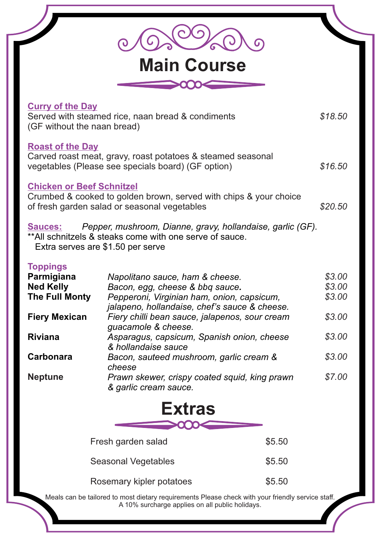| <b>Main Course</b>                                                         |                                                                                                                                                             |                            |  |  |
|----------------------------------------------------------------------------|-------------------------------------------------------------------------------------------------------------------------------------------------------------|----------------------------|--|--|
|                                                                            |                                                                                                                                                             |                            |  |  |
| <b>Curry of the Day</b><br>(GF without the naan bread)                     | Served with steamed rice, naan bread & condiments                                                                                                           | \$18.50                    |  |  |
| <b>Roast of the Day</b>                                                    | Carved roast meat, gravy, roast potatoes & steamed seasonal<br>vegetables (Please see specials board) (GF option)                                           | \$16.50                    |  |  |
| <b>Chicken or Beef Schnitzel</b>                                           | Crumbed & cooked to golden brown, served with chips & your choice<br>of fresh garden salad or seasonal vegetables                                           | \$20.50                    |  |  |
| <b>Sauces:</b>                                                             | Pepper, mushroom, Dianne, gravy, hollandaise, garlic (GF).<br>** All schnitzels & steaks come with one serve of sauce.<br>Extra serves are \$1.50 per serve |                            |  |  |
| <b>Toppings</b><br>Parmigiana<br><b>Ned Kelly</b><br><b>The Full Monty</b> | Napolitano sauce, ham & cheese.<br>Bacon, egg, cheese & bbq sauce.<br>Pepperoni, Virginian ham, onion, capsicum,                                            | \$3.00<br>\$3.00<br>\$3.00 |  |  |
| <b>Fiery Mexican</b>                                                       | jalapeno, hollandaise, chef's sauce & cheese.<br>Fiery chilli bean sauce, jalapenos, sour cream                                                             | \$3.00                     |  |  |
| <b>Riviana</b>                                                             | guacamole & cheese.<br>Asparagus, capsicum, Spanish onion, cheese                                                                                           | \$3.00                     |  |  |
| <b>Carbonara</b>                                                           | & hollandaise sauce<br>Bacon, sauteed mushroom, garlic cream &                                                                                              | \$3.00                     |  |  |
| <b>Neptune</b>                                                             | cheese<br>Prawn skewer, crispy coated squid, king prawn<br>& garlic cream sauce.                                                                            | \$7.00                     |  |  |
|                                                                            | <b>Extras</b>                                                                                                                                               |                            |  |  |
|                                                                            |                                                                                                                                                             |                            |  |  |
|                                                                            | \$5.50<br>Fresh garden salad                                                                                                                                |                            |  |  |
|                                                                            | \$5.50<br><b>Seasonal Vegetables</b>                                                                                                                        |                            |  |  |
|                                                                            | \$5.50<br>Rosemary kipler potatoes                                                                                                                          |                            |  |  |
|                                                                            | Meals can be tailored to most dietary requirements Please check with your friendly service staff.<br>A 10% surcharge applies on all public holidays.        |                            |  |  |